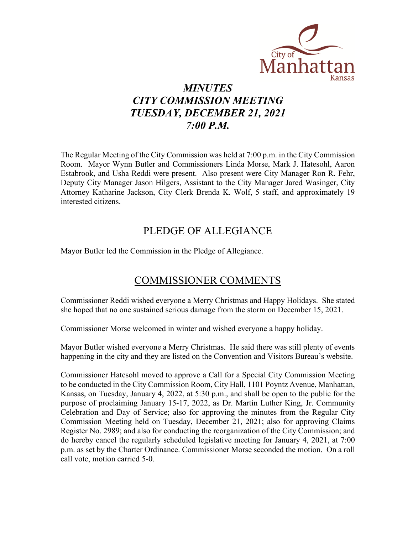

## *MINUTES CITY COMMISSION MEETING TUESDAY, DECEMBER 21, 2021 7:00 P.M.*

The Regular Meeting of the City Commission was held at 7:00 p.m. in the City Commission Room. Mayor Wynn Butler and Commissioners Linda Morse, Mark J. Hatesohl, Aaron Estabrook, and Usha Reddi were present. Also present were City Manager Ron R. Fehr, Deputy City Manager Jason Hilgers, Assistant to the City Manager Jared Wasinger, City Attorney Katharine Jackson, City Clerk Brenda K. Wolf, 5 staff, and approximately 19 interested citizens.

## PLEDGE OF ALLEGIANCE

Mayor Butler led the Commission in the Pledge of Allegiance.

# COMMISSIONER COMMENTS

Commissioner Reddi wished everyone a Merry Christmas and Happy Holidays. She stated she hoped that no one sustained serious damage from the storm on December 15, 2021.

Commissioner Morse welcomed in winter and wished everyone a happy holiday.

Mayor Butler wished everyone a Merry Christmas. He said there was still plenty of events happening in the city and they are listed on the Convention and Visitors Bureau's website.

Commissioner Hatesohl moved to approve a Call for a Special City Commission Meeting to be conducted in the City Commission Room, City Hall, 1101 Poyntz Avenue, Manhattan, Kansas, on Tuesday, January 4, 2022, at 5:30 p.m., and shall be open to the public for the purpose of proclaiming January 15-17, 2022, as Dr. Martin Luther King, Jr. Community Celebration and Day of Service; also for approving the minutes from the Regular City Commission Meeting held on Tuesday, December 21, 2021; also for approving Claims Register No. 2989; and also for conducting the reorganization of the City Commission; and do hereby cancel the regularly scheduled legislative meeting for January 4, 2021, at 7:00 p.m. as set by the Charter Ordinance. Commissioner Morse seconded the motion. On a roll call vote, motion carried 5-0.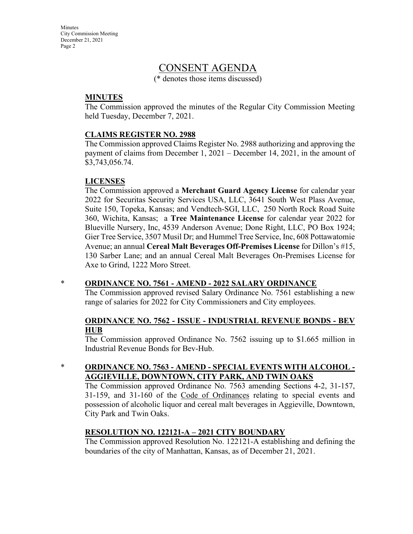**Minutes** City Commission Meeting December 21, 2021 Page 2

## CONSENT AGENDA

(\* denotes those items discussed)

#### **MINUTES**

The Commission approved the minutes of the Regular City Commission Meeting held Tuesday, December 7, 2021.

#### **CLAIMS REGISTER NO. 2988**

The Commission approved Claims Register No. 2988 authorizing and approving the payment of claims from December 1, 2021 – December 14, 2021, in the amount of \$3,743,056.74.

#### **LICENSES**

The Commission approved a **Merchant Guard Agency License** for calendar year 2022 for Securitas Security Services USA, LLC, 3641 South West Plass Avenue, Suite 150, Topeka, Kansas; and Vendtech-SGI, LLC, 250 North Rock Road Suite 360, Wichita, Kansas; a **Tree Maintenance License** for calendar year 2022 for Blueville Nursery, Inc, 4539 Anderson Avenue; Done Right, LLC, PO Box 1924; Gier Tree Service, 3507 Musil Dr; and Hummel Tree Service, Inc, 608 Pottawatomie Avenue; an annual **Cereal Malt Beverages Off-Premises License** for Dillon's #15, 130 Sarber Lane; and an annual Cereal Malt Beverages On-Premises License for Axe to Grind, 1222 Moro Street.

#### \* **ORDINANCE NO. 7561 - AMEND - 2022 SALARY ORDINANCE**

The Commission approved revised Salary Ordinance No. 7561 establishing a new range of salaries for 2022 for City Commissioners and City employees.

#### **ORDINANCE NO. 7562 - ISSUE - INDUSTRIAL REVENUE BONDS - BEV HUB**

The Commission approved Ordinance No. 7562 issuing up to \$1.665 million in Industrial Revenue Bonds for Bev-Hub.

### \* **ORDINANCE NO. 7563 - AMEND - SPECIAL EVENTS WITH ALCOHOL - AGGIEVILLE, DOWNTOWN, CITY PARK, AND TWIN OAKS**

The Commission approved Ordinance No. 7563 amending Sections 4-2, 31-157, 31-159, and 31-160 of the Code of Ordinances relating to special events and possession of alcoholic liquor and cereal malt beverages in Aggieville, Downtown, City Park and Twin Oaks.

#### **RESOLUTION NO. 122121-A – 2021 CITY BOUNDARY**

The Commission approved Resolution No. 122121-A establishing and defining the boundaries of the city of Manhattan, Kansas, as of December 21, 2021.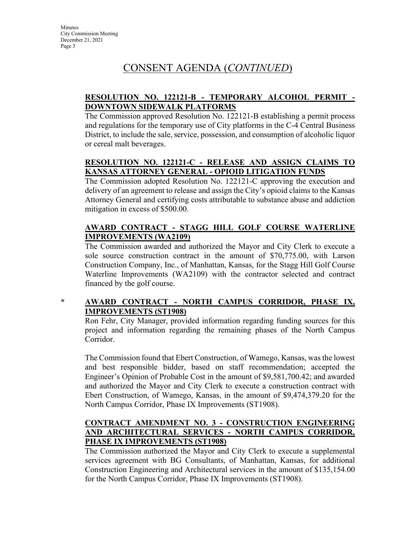### **RESOLUTION NO. 122121-B - TEMPORARY ALCOHOL PERMIT - DOWNTOWN SIDEWALK PLATFORMS**

The Commission approved Resolution No. 122121-B establishing a permit process and regulations for the temporary use of City platforms in the C-4 Central Business District, to include the sale, service, possession, and consumption of alcoholic liquor or cereal malt beverages.

## **RESOLUTION NO. 122121-C - RELEASE AND ASSIGN CLAIMS TO KANSAS ATTORNEY GENERAL - OPIOID LITIGATION FUNDS**

The Commission adopted Resolution No. 122121-C approving the execution and delivery of an agreement to release and assign the City's opioid claims to the Kansas Attorney General and certifying costs attributable to substance abuse and addiction mitigation in excess of \$500.00.

### **AWARD CONTRACT - STAGG HILL GOLF COURSE WATERLINE IMPROVEMENTS (WA2109)**

The Commission awarded and authorized the Mayor and City Clerk to execute a sole source construction contract in the amount of \$70,775.00, with Larson Construction Company, Inc., of Manhattan, Kansas, for the Stagg Hill Golf Course Waterline Improvements (WA2109) with the contractor selected and contract financed by the golf course.

## **\* AWARD CONTRACT - NORTH CAMPUS CORRIDOR, PHASE IX, IMPROVEMENTS (ST1908)**

Ron Fehr, City Manager, provided information regarding funding sources for this project and information regarding the remaining phases of the North Campus Corridor.

The Commission found that Ebert Construction, of Wamego, Kansas, was the lowest and best responsible bidder, based on staff recommendation; accepted the Engineer's Opinion of Probable Cost in the amount of \$9,581,700.42; and awarded and authorized the Mayor and City Clerk to execute a construction contract with Ebert Construction, of Wamego, Kansas, in the amount of \$9,474,379.20 for the North Campus Corridor, Phase IX Improvements (ST1908).

### **CONTRACT AMENDMENT NO. 3 - CONSTRUCTION ENGINEERING AND ARCHITECTURAL SERVICES - NORTH CAMPUS CORRIDOR, PHASE IX IMPROVEMENTS (ST1908)**

The Commission authorized the Mayor and City Clerk to execute a supplemental services agreement with BG Consultants, of Manhattan, Kansas, for additional Construction Engineering and Architectural services in the amount of \$135,154.00 for the North Campus Corridor, Phase IX Improvements (ST1908).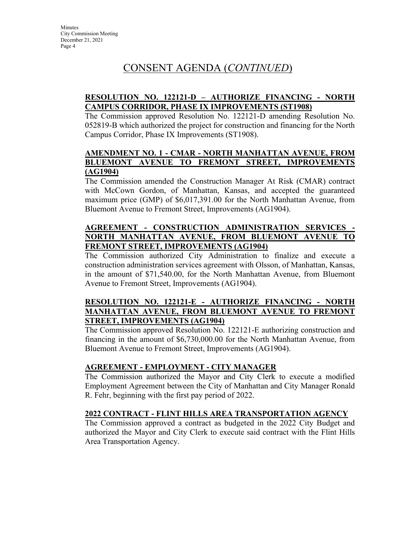### **RESOLUTION NO. 122121-D – AUTHORIZE FINANCING - NORTH CAMPUS CORRIDOR, PHASE IX IMPROVEMENTS (ST1908)**

The Commission approved Resolution No. 122121-D amending Resolution No. 052819-B which authorized the project for construction and financing for the North Campus Corridor, Phase IX Improvements (ST1908).

#### **AMENDMENT NO. 1 - CMAR - NORTH MANHATTAN AVENUE, FROM BLUEMONT AVENUE TO FREMONT STREET, IMPROVEMENTS (AG1904)**

The Commission amended the Construction Manager At Risk (CMAR) contract with McCown Gordon, of Manhattan, Kansas, and accepted the guaranteed maximum price (GMP) of \$6,017,391.00 for the North Manhattan Avenue, from Bluemont Avenue to Fremont Street, Improvements (AG1904).

### **AGREEMENT - CONSTRUCTION ADMINISTRATION SERVICES - NORTH MANHATTAN AVENUE, FROM BLUEMONT AVENUE FREMONT STREET, IMPROVEMENTS (AG1904)**

The Commission authorized City Administration to finalize and execute a construction administration services agreement with Olsson, of Manhattan, Kansas, in the amount of \$71,540.00, for the North Manhattan Avenue, from Bluemont Avenue to Fremont Street, Improvements (AG1904).

#### **RESOLUTION NO. 122121-E - AUTHORIZE FINANCING - NORTH MANHATTAN AVENUE, FROM BLUEMONT AVENUE TO FREMONT STREET, IMPROVEMENTS (AG1904)**

The Commission approved Resolution No. 122121-E authorizing construction and financing in the amount of \$6,730,000.00 for the North Manhattan Avenue, from Bluemont Avenue to Fremont Street, Improvements (AG1904).

## **AGREEMENT - EMPLOYMENT - CITY MANAGER**

The Commission authorized the Mayor and City Clerk to execute a modified Employment Agreement between the City of Manhattan and City Manager Ronald R. Fehr, beginning with the first pay period of 2022.

## **2022 CONTRACT - FLINT HILLS AREA TRANSPORTATION AGENCY**

The Commission approved a contract as budgeted in the 2022 City Budget and authorized the Mayor and City Clerk to execute said contract with the Flint Hills Area Transportation Agency.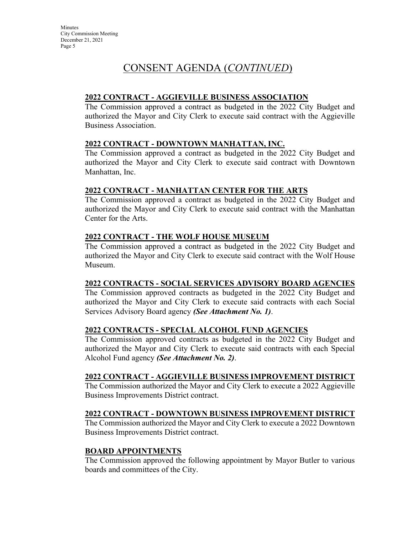#### **2022 CONTRACT - AGGIEVILLE BUSINESS ASSOCIATION**

The Commission approved a contract as budgeted in the 2022 City Budget and authorized the Mayor and City Clerk to execute said contract with the Aggieville Business Association.

#### **2022 CONTRACT - DOWNTOWN MANHATTAN, INC.**

The Commission approved a contract as budgeted in the 2022 City Budget and authorized the Mayor and City Clerk to execute said contract with Downtown Manhattan, Inc.

#### **2022 CONTRACT - MANHATTAN CENTER FOR THE ARTS**

The Commission approved a contract as budgeted in the 2022 City Budget and authorized the Mayor and City Clerk to execute said contract with the Manhattan Center for the Arts.

#### **2022 CONTRACT - THE WOLF HOUSE MUSEUM**

The Commission approved a contract as budgeted in the 2022 City Budget and authorized the Mayor and City Clerk to execute said contract with the Wolf House Museum.

#### **2022 CONTRACTS - SOCIAL SERVICES ADVISORY BOARD AGENCIES**

The Commission approved contracts as budgeted in the 2022 City Budget and authorized the Mayor and City Clerk to execute said contracts with each Social Services Advisory Board agency *(See Attachment No. 1)*.

#### **2022 CONTRACTS - SPECIAL ALCOHOL FUND AGENCIES**

The Commission approved contracts as budgeted in the 2022 City Budget and authorized the Mayor and City Clerk to execute said contracts with each Special Alcohol Fund agency *(See Attachment No. 2)*.

#### **2022 CONTRACT - AGGIEVILLE BUSINESS IMPROVEMENT DISTRICT**

The Commission authorized the Mayor and City Clerk to execute a 2022 Aggieville Business Improvements District contract.

#### **2022 CONTRACT - DOWNTOWN BUSINESS IMPROVEMENT DISTRICT**

The Commission authorized the Mayor and City Clerk to execute a 2022 Downtown Business Improvements District contract.

#### **BOARD APPOINTMENTS**

The Commission approved the following appointment by Mayor Butler to various boards and committees of the City.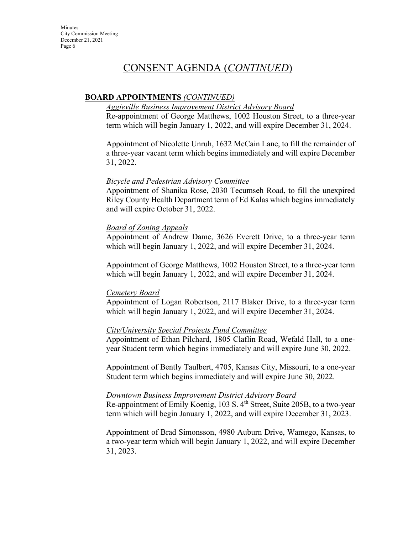#### **BOARD APPOINTMENTS** *(CONTINUED)*

#### *Aggieville Business Improvement District Advisory Board*

Re-appointment of George Matthews, 1002 Houston Street, to a three-year term which will begin January 1, 2022, and will expire December 31, 2024.

Appointment of Nicolette Unruh, 1632 McCain Lane, to fill the remainder of a three-year vacant term which begins immediately and will expire December 31, 2022.

#### *Bicycle and Pedestrian Advisory Committee*

Appointment of Shanika Rose, 2030 Tecumseh Road, to fill the unexpired Riley County Health Department term of Ed Kalas which begins immediately and will expire October 31, 2022.

#### *Board of Zoning Appeals*

Appointment of Andrew Dame, 3626 Everett Drive, to a three-year term which will begin January 1, 2022, and will expire December 31, 2024.

Appointment of George Matthews, 1002 Houston Street, to a three-year term which will begin January 1, 2022, and will expire December 31, 2024.

#### *Cemetery Board*

Appointment of Logan Robertson, 2117 Blaker Drive, to a three-year term which will begin January 1, 2022, and will expire December 31, 2024.

#### *City/University Special Projects Fund Committee*

Appointment of Ethan Pilchard, 1805 Claflin Road, Wefald Hall, to a oneyear Student term which begins immediately and will expire June 30, 2022.

Appointment of Bently Taulbert, 4705, Kansas City, Missouri, to a one-year Student term which begins immediately and will expire June 30, 2022.

#### *Downtown Business Improvement District Advisory Board*

Re-appointment of Emily Koenig, 103 S. 4<sup>th</sup> Street, Suite 205B, to a two-year term which will begin January 1, 2022, and will expire December 31, 2023.

Appointment of Brad Simonsson, 4980 Auburn Drive, Wamego, Kansas, to a two-year term which will begin January 1, 2022, and will expire December 31, 2023.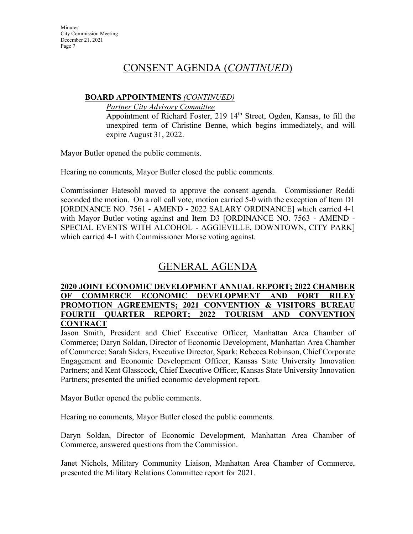### **BOARD APPOINTMENTS** *(CONTINUED)*

*Partner City Advisory Committee*

Appointment of Richard Foster, 219 14<sup>th</sup> Street, Ogden, Kansas, to fill the unexpired term of Christine Benne, which begins immediately, and will expire August 31, 2022.

Mayor Butler opened the public comments.

Hearing no comments, Mayor Butler closed the public comments.

Commissioner Hatesohl moved to approve the consent agenda. Commissioner Reddi seconded the motion. On a roll call vote, motion carried 5-0 with the exception of Item D1 [ORDINANCE NO. 7561 - AMEND - 2022 SALARY ORDINANCE] which carried 4-1 with Mayor Butler voting against and Item D3 [ORDINANCE NO. 7563 - AMEND - SPECIAL EVENTS WITH ALCOHOL - AGGIEVILLE, DOWNTOWN, CITY PARK] which carried 4-1 with Commissioner Morse voting against.

# GENERAL AGENDA

#### **2020 JOINT ECONOMIC DEVELOPMENT ANNUAL REPORT; 2022 CHAMBER OF COMMERCE ECONOMIC DEVELOPMENT AND FORT RILEY PROMOTION AGREEMENTS; 2021 CONVENTION & VISITORS BUREAU FOURTH QUARTER REPORT; 2022 TOURISM AND CONVENTION CONTRACT**

Jason Smith, President and Chief Executive Officer, Manhattan Area Chamber of Commerce; Daryn Soldan, Director of Economic Development, Manhattan Area Chamber of Commerce; Sarah Siders, Executive Director, Spark; Rebecca Robinson, Chief Corporate Engagement and Economic Development Officer, Kansas State University Innovation Partners; and Kent Glasscock, Chief Executive Officer, Kansas State University Innovation Partners; presented the unified economic development report.

Mayor Butler opened the public comments.

Hearing no comments, Mayor Butler closed the public comments.

Daryn Soldan, Director of Economic Development, Manhattan Area Chamber of Commerce, answered questions from the Commission.

Janet Nichols, Military Community Liaison, Manhattan Area Chamber of Commerce, presented the Military Relations Committee report for 2021.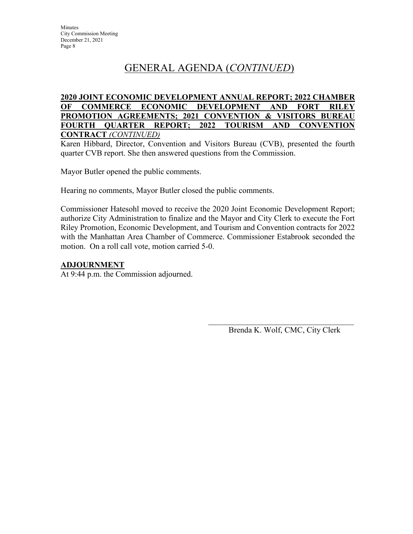# GENERAL AGENDA (*CONTINUED*)

#### **2020 JOINT ECONOMIC DEVELOPMENT ANNUAL REPORT; 2022 CHAMBER OF COMMERCE ECONOMIC DEVELOPMENT AND FORT RILEY PROMOTION AGREEMENTS; 2021 CONVENTION & VISITORS BUREAU FOURTH QUARTER REPORT; 2022 TOURISM AND CONVENTION CONTRACT** *(CONTINUED)*

Karen Hibbard, Director, Convention and Visitors Bureau (CVB), presented the fourth quarter CVB report. She then answered questions from the Commission.

Mayor Butler opened the public comments.

Hearing no comments, Mayor Butler closed the public comments.

Commissioner Hatesohl moved to receive the 2020 Joint Economic Development Report; authorize City Administration to finalize and the Mayor and City Clerk to execute the Fort Riley Promotion, Economic Development, and Tourism and Convention contracts for 2022 with the Manhattan Area Chamber of Commerce. Commissioner Estabrook seconded the motion. On a roll call vote, motion carried 5-0.

#### **ADJOURNMENT**

At 9:44 p.m. the Commission adjourned.

 $\overline{\phantom{a}}$  ,  $\overline{\phantom{a}}$  ,  $\overline{\phantom{a}}$  ,  $\overline{\phantom{a}}$  ,  $\overline{\phantom{a}}$  ,  $\overline{\phantom{a}}$  ,  $\overline{\phantom{a}}$  ,  $\overline{\phantom{a}}$  ,  $\overline{\phantom{a}}$  ,  $\overline{\phantom{a}}$  ,  $\overline{\phantom{a}}$  ,  $\overline{\phantom{a}}$  ,  $\overline{\phantom{a}}$  ,  $\overline{\phantom{a}}$  ,  $\overline{\phantom{a}}$  ,  $\overline{\phantom{a}}$ Brenda K. Wolf, CMC, City Clerk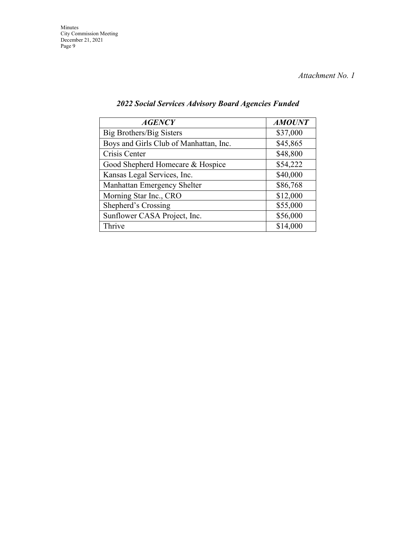*Attachment No. 1*

| <b>AGENCY</b>                          | <b>AMOUNT</b> |
|----------------------------------------|---------------|
| Big Brothers/Big Sisters               | \$37,000      |
| Boys and Girls Club of Manhattan, Inc. | \$45,865      |
| Crisis Center                          | \$48,800      |
| Good Shepherd Homecare & Hospice       | \$54,222      |
| Kansas Legal Services, Inc.            | \$40,000      |
| Manhattan Emergency Shelter            | \$86,768      |
| Morning Star Inc., CRO                 | \$12,000      |
| Shepherd's Crossing                    | \$55,000      |
| Sunflower CASA Project, Inc.           | \$56,000      |
| Thrive                                 | \$14,000      |

## *2022 Social Services Advisory Board Agencies Funded*